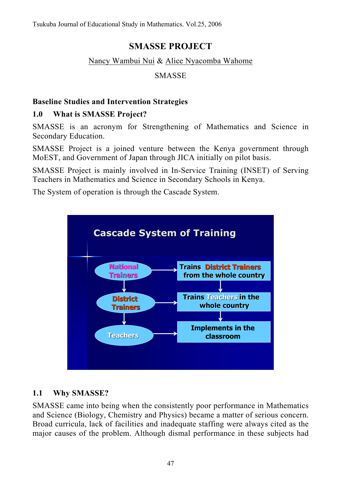# **SMASSE PROJECT**

### Nancy Wambui Nui & Alice Nyacomba Wahome

### SMASSE

## **Baseline Studies and Intervention Strategies**

### **1.0 What is SMASSE Project?**

SMASSE is an acronym for Strengthening of Mathematics and Science in Secondary Education.

SMASSE Project is a joined venture between the Kenya government through MoEST, and Government of Japan through JICA initially on pilot basis.

SMASSE Project is mainly involved in In-Service Training (INSET) of Serving Teachers in Mathematics and Science in Secondary Schools in Kenya.

The System of operation is through the Cascade System.



## **1.1 Why SMASSE?**

SMASSE came into being when the consistently poor performance in Mathematics and Science (Biology, Chemistry and Physics) became a matter of serious concern. Broad curricula, lack of facilities and inadequate staffing were always cited as the major causes of the problem. Although dismal performance in these subjects had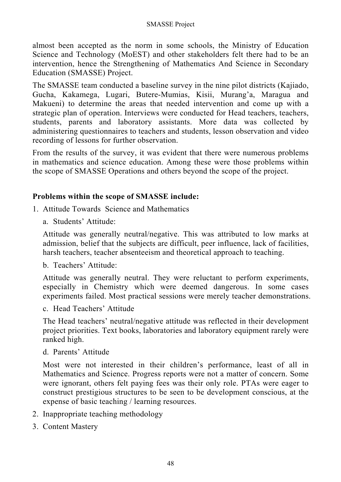almost been accepted as the norm in some schools, the Ministry of Education Science and Technology (MoEST) and other stakeholders felt there had to be an intervention, hence the Strengthening of Mathematics And Science in Secondary Education (SMASSE) Project.

The SMASSE team conducted a baseline survey in the nine pilot districts (Kajiado, Gucha, Kakamega, Lugari, Butere-Mumias, Kisii, Murang'a, Maragua and Makueni) to determine the areas that needed intervention and come up with a strategic plan of operation. Interviews were conducted for Head teachers, teachers, students, parents and laboratory assistants. More data was collected by administering questionnaires to teachers and students, lesson observation and video recording of lessons for further observation.

From the results of the survey, it was evident that there were numerous problems in mathematics and science education. Among these were those problems within the scope of SMASSE Operations and others beyond the scope of the project.

#### **Problems within the scope of SMASSE include:**

- 1. Attitude Towards Science and Mathematics
	- a. Students' Attitude:

Attitude was generally neutral/negative. This was attributed to low marks at admission, belief that the subjects are difficult, peer influence, lack of facilities, harsh teachers, teacher absenteeism and theoretical approach to teaching.

b. Teachers' Attitude:

Attitude was generally neutral. They were reluctant to perform experiments, especially in Chemistry which were deemed dangerous. In some cases experiments failed. Most practical sessions were merely teacher demonstrations.

c. Head Teachers' Attitude

The Head teachers' neutral/negative attitude was reflected in their development project priorities. Text books, laboratories and laboratory equipment rarely were ranked high.

d. Parents' Attitude

Most were not interested in their children's performance, least of all in Mathematics and Science. Progress reports were not a matter of concern. Some were ignorant, others felt paying fees was their only role. PTAs were eager to construct prestigious structures to be seen to be development conscious, at the expense of basic teaching / learning resources.

- 2. Inappropriate teaching methodology
- 3. Content Mastery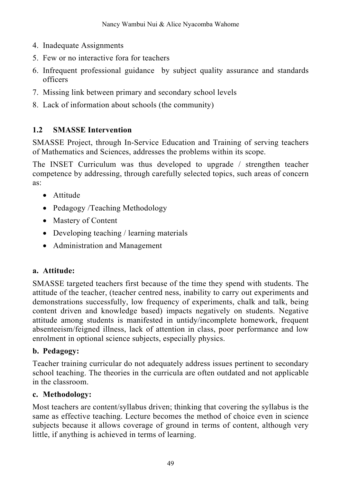- 4. Inadequate Assignments
- 5. Few or no interactive fora for teachers
- 6. Infrequent professional guidance by subject quality assurance and standards officers
- 7. Missing link between primary and secondary school levels
- 8. Lack of information about schools (the community)

## **1.2 SMASSE Intervention**

SMASSE Project, through In-Service Education and Training of serving teachers of Mathematics and Sciences, addresses the problems within its scope.

The INSET Curriculum was thus developed to upgrade / strengthen teacher competence by addressing, through carefully selected topics, such areas of concern as:

- Attitude
- Pedagogy /Teaching Methodology
- Mastery of Content
- Developing teaching / learning materials
- Administration and Management

## **a. Attitude:**

SMASSE targeted teachers first because of the time they spend with students. The attitude of the teacher, (teacher centred ness, inability to carry out experiments and demonstrations successfully, low frequency of experiments, chalk and talk, being content driven and knowledge based) impacts negatively on students. Negative attitude among students is manifested in untidy/incomplete homework, frequent absenteeism/feigned illness, lack of attention in class, poor performance and low enrolment in optional science subjects, especially physics.

## **b. Pedagogy:**

Teacher training curricular do not adequately address issues pertinent to secondary school teaching. The theories in the curricula are often outdated and not applicable in the classroom.

## **c. Methodology:**

Most teachers are content/syllabus driven; thinking that covering the syllabus is the same as effective teaching. Lecture becomes the method of choice even in science subjects because it allows coverage of ground in terms of content, although very little, if anything is achieved in terms of learning.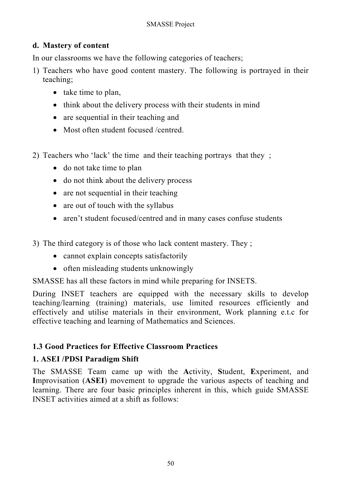## **d. Mastery of content**

In our classrooms we have the following categories of teachers;

- 1) Teachers who have good content mastery. The following is portrayed in their teaching;
	- take time to plan,
	- think about the delivery process with their students in mind
	- are sequential in their teaching and
	- Most often student focused /centred.
- 2) Teachers who 'lack' the time and their teaching portrays that they ;
	- do not take time to plan
	- do not think about the delivery process
	- are not sequential in their teaching
	- are out of touch with the syllabus
	- aren't student focused/centred and in many cases confuse students

3) The third category is of those who lack content mastery. They ;

- cannot explain concepts satisfactorily
- often misleading students unknowingly

SMASSE has all these factors in mind while preparing for INSETS.

During INSET teachers are equipped with the necessary skills to develop teaching/learning (training) materials, use limited resources efficiently and effectively and utilise materials in their environment, Work planning e.t.c for effective teaching and learning of Mathematics and Sciences.

## **1.3 Good Practices for Effective Classroom Practices**

## **1. ASEI /PDSI Paradigm Shift**

The SMASSE Team came up with the **A**ctivity, **S**tudent, **E**xperiment, and **I**mprovisation (**ASEI**) movement to upgrade the various aspects of teaching and learning. There are four basic principles inherent in this, which guide SMASSE INSET activities aimed at a shift as follows: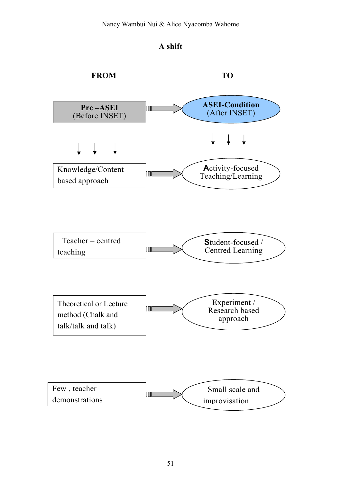

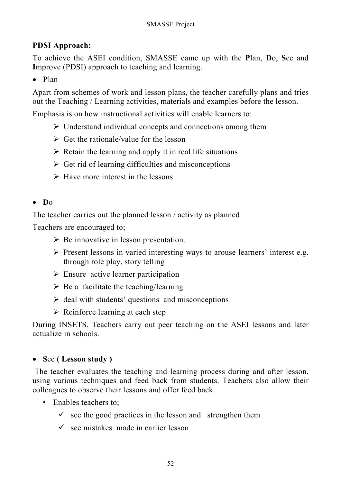## **PDSI Approach:**

To achieve the ASEI condition, SMASSE came up with the **P**lan, **D**o, **S**ee and **I**mprove (PDSI) approach to teaching and learning.

### • **P**lan

Apart from schemes of work and lesson plans, the teacher carefully plans and tries out the Teaching / Learning activities, materials and examples before the lesson.

Emphasis is on how instructional activities will enable learners to:

- $\triangleright$  Understand individual concepts and connections among them
- $\triangleright$  Get the rationale/value for the lesson
- $\triangleright$  Retain the learning and apply it in real life situations
- $\triangleright$  Get rid of learning difficulties and misconceptions
- $\triangleright$  Have more interest in the lessons

## • **D**o

The teacher carries out the planned lesson / activity as planned

Teachers are encouraged to;

- $\triangleright$  Be innovative in lesson presentation.
- $\triangleright$  Present lessons in varied interesting ways to arouse learners' interest e.g. through role play, story telling
- $\triangleright$  Ensure active learner participation
- $\triangleright$  Be a facilitate the teaching/learning
- $\triangleright$  deal with students' questions and misconceptions
- $\triangleright$  Reinforce learning at each step

During INSETS, Teachers carry out peer teaching on the ASEI lessons and later actualize in schools.

### • **S**ee **( Lesson study )**

 The teacher evaluates the teaching and learning process during and after lesson, using various techniques and feed back from students. Teachers also allow their colleagues to observe their lessons and offer feed back.

- Enables teachers to;
	- $\checkmark$  see the good practices in the lesson and strengthen them
	- $\checkmark$  see mistakes made in earlier lesson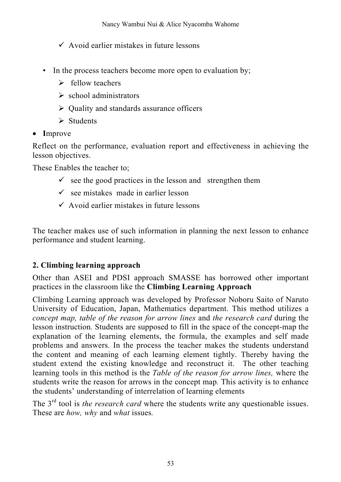$\checkmark$  Avoid earlier mistakes in future lessons

- In the process teachers become more open to evaluation by;
	- $\triangleright$  fellow teachers
	- $\triangleright$  school administrators
	- $\triangleright$  Quality and standards assurance officers
	- $\triangleright$  Students
- **I**mprove

Reflect on the performance, evaluation report and effectiveness in achieving the lesson objectives.

These Enables the teacher to;

- $\checkmark$  see the good practices in the lesson and strengthen them
- $\checkmark$  see mistakes made in earlier lesson
- $\checkmark$  Avoid earlier mistakes in future lessons

The teacher makes use of such information in planning the next lesson to enhance performance and student learning.

## **2. Climbing learning approach**

Other than ASEI and PDSI approach SMASSE has borrowed other important practices in the classroom like the **Climbing Learning Approach** 

Climbing Learning approach was developed by Professor Noboru Saito of Naruto University of Education, Japan, Mathematics department. This method utilizes a *concept map, table of the reason for arrow lines* and *the research card* during the lesson instruction*.* Students are supposed to fill in the space of the concept-map the explanation of the learning elements, the formula, the examples and self made problems and answers. In the process the teacher makes the students understand the content and meaning of each learning element tightly. Thereby having the student extend the existing knowledge and reconstruct it. The other teaching learning tools in this method is the *Table of the reason for arrow lines,* where the students write the reason for arrows in the concept map*.* This activity is to enhance the students' understanding of interrelation of learning elements

The 3rd tool is *the research card* where the students write any questionable issues. These are *how, why* and *what* issues*.*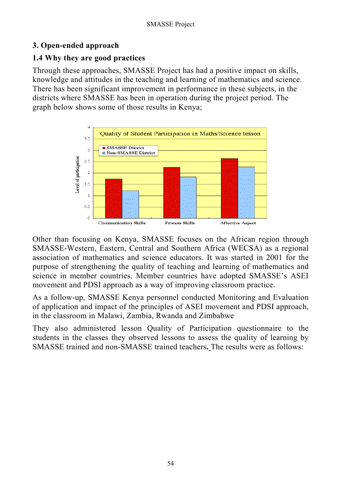## **3. Open-ended approach**

### **1.4 Why they are good practices**

Through these approaches, SMASSE Project has had a positive impact on skills, knowledge and attitudes in the teaching and learning of mathematics and science. There has been significant improvement in performance in these subjects, in the districts where SMASSE has been in operation during the project period. The graph below shows some of those results in Kenya;



Other than focusing on Kenya, SMASSE focuses on the African region through SMASSE-Western, Eastern, Central and Southern Africa (WECSA) as a regional association of mathematics and science educators. It was started in 2001 for the purpose of strengthening the quality of teaching and learning of mathematics and science in member countries. Member countries have adopted SMASSE's ASEI movement and PDSI approach as a way of improving classroom practice.

As a follow-up, SMASSE Kenya personnel conducted Monitoring and Evaluation of application and impact of the principles of ASEI movement and PDSI approach, in the classroom in Malawi, Zambia, Rwanda and Zimbabwe

They also administered lesson Quality of Participation questionnaire to the students in the classes they observed lessons to assess the quality of learning by SMASSE trained and non-SMASSE trained teachers**.** The results were as follows: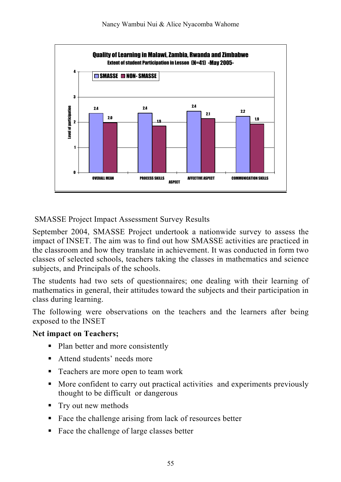

SMASSE Project Impact Assessment Survey Results

September 2004, SMASSE Project undertook a nationwide survey to assess the impact of INSET. The aim was to find out how SMASSE activities are practiced in the classroom and how they translate in achievement. It was conducted in form two classes of selected schools, teachers taking the classes in mathematics and science subjects, and Principals of the schools.

The students had two sets of questionnaires; one dealing with their learning of mathematics in general, their attitudes toward the subjects and their participation in class during learning.

The following were observations on the teachers and the learners after being exposed to the INSET

### **Net impact on Teachers;**

- Plan better and more consistently
- **Attend students' needs more**
- Teachers are more open to team work
- More confident to carry out practical activities and experiments previously thought to be difficult or dangerous
- Try out new methods
- Face the challenge arising from lack of resources better
- Face the challenge of large classes better